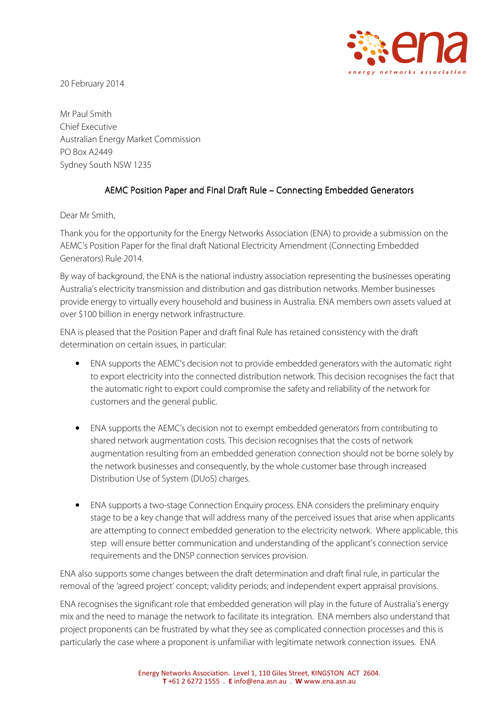

20 February 2014

Mr Paul Smith Chief Executive Australian Energy Market Commission PO Box A2449 Sydney South NSW 1235

## AEMC Position Paper and Final Draft Rule – Connecting Embedded Generators

Dear Mr Smith,

Thank you for the opportunity for the Energy Networks Association (ENA) to provide a submission on the AEMC's Position Paper for the final draft National Electricity Amendment (Connecting Embedded Generators) Rule 2014.

By way of background, the ENA is the national industry association representing the businesses operating Australia's electricity transmission and distribution and gas distribution networks. Member businesses provide energy to virtually every household and business in Australia. ENA members own assets valued at over \$100 billion in energy network infrastructure.

ENA is pleased that the Position Paper and draft final Rule has retained consistency with the draft determination on certain issues, in particular:

- ENA supports the AEMC's decision not to provide embedded generators with the automatic right to export electricity into the connected distribution network. This decision recognises the fact that the automatic right to export could compromise the safety and reliability of the network for customers and the general public.
- ENA supports the AEMC's decision not to exempt embedded generators from contributing to shared network augmentation costs. This decision recognises that the costs of network augmentation resulting from an embedded generation connection should not be borne solely by the network businesses and consequently, by the whole customer base through increased Distribution Use of System (DUoS) charges.
- ENA supports a two-stage Connection Enquiry process. ENA considers the preliminary enquiry stage to be a key change that will address many of the perceived issues that arise when applicants are attempting to connect embedded generation to the electricity network. Where applicable, this step will ensure better communication and understanding of the applicant's connection service requirements and the DNSP connection services provision.

ENA also supports some changes between the draft determination and draft final rule, in particular the removal of the 'agreed project' concept; validity periods; and independent expert appraisal provisions.

ENA recognises the significant role that embedded generation will play in the future of Australia's energy mix and the need to manage the network to facilitate its integration. ENA members also understand that project proponents can be frustrated by what they see as complicated connection processes and this is particularly the case where a proponent is unfamiliar with legitimate network connection issues. ENA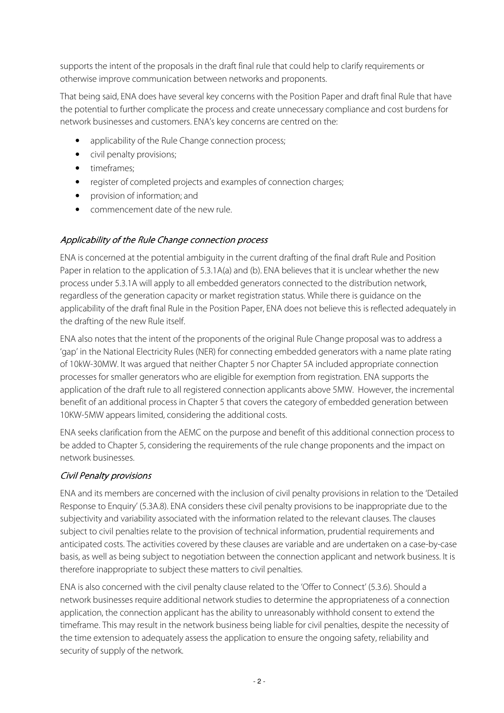supports the intent of the proposals in the draft final rule that could help to clarify requirements or otherwise improve communication between networks and proponents.

That being said, ENA does have several key concerns with the Position Paper and draft final Rule that have the potential to further complicate the process and create unnecessary compliance and cost burdens for network businesses and customers. ENA's key concerns are centred on the:

- applicability of the Rule Change connection process;
- civil penalty provisions;
- timeframes:
- register of completed projects and examples of connection charges;
- provision of information; and
- commencement date of the new rule.

#### Applicability of the Rule Change connection process

ENA is concerned at the potential ambiguity in the current drafting of the final draft Rule and Position Paper in relation to the application of 5.3.1A(a) and (b). ENA believes that it is unclear whether the new process under 5.3.1A will apply to all embedded generators connected to the distribution network, regardless of the generation capacity or market registration status. While there is guidance on the applicability of the draft final Rule in the Position Paper, ENA does not believe this is reflected adequately in the drafting of the new Rule itself.

ENA also notes that the intent of the proponents of the original Rule Change proposal was to address a 'gap' in the National Electricity Rules (NER) for connecting embedded generators with a name plate rating of 10kW-30MW. It was argued that neither Chapter 5 nor Chapter 5A included appropriate connection processes for smaller generators who are eligible for exemption from registration. ENA supports the application of the draft rule to all registered connection applicants above 5MW. However, the incremental benefit of an additional process in Chapter 5 that covers the category of embedded generation between 10KW-5MW appears limited, considering the additional costs.

ENA seeks clarification from the AEMC on the purpose and benefit of this additional connection process to be added to Chapter 5, considering the requirements of the rule change proponents and the impact on network businesses.

## Civil Penalty provisions

ENA and its members are concerned with the inclusion of civil penalty provisions in relation to the 'Detailed Response to Enquiry' (5.3A.8). ENA considers these civil penalty provisions to be inappropriate due to the subjectivity and variability associated with the information related to the relevant clauses. The clauses subject to civil penalties relate to the provision of technical information, prudential requirements and anticipated costs. The activities covered by these clauses are variable and are undertaken on a case-by-case basis, as well as being subject to negotiation between the connection applicant and network business. It is therefore inappropriate to subject these matters to civil penalties.

ENA is also concerned with the civil penalty clause related to the 'Offer to Connect' (5.3.6). Should a network businesses require additional network studies to determine the appropriateness of a connection application, the connection applicant has the ability to unreasonably withhold consent to extend the timeframe. This may result in the network business being liable for civil penalties, despite the necessity of the time extension to adequately assess the application to ensure the ongoing safety, reliability and security of supply of the network.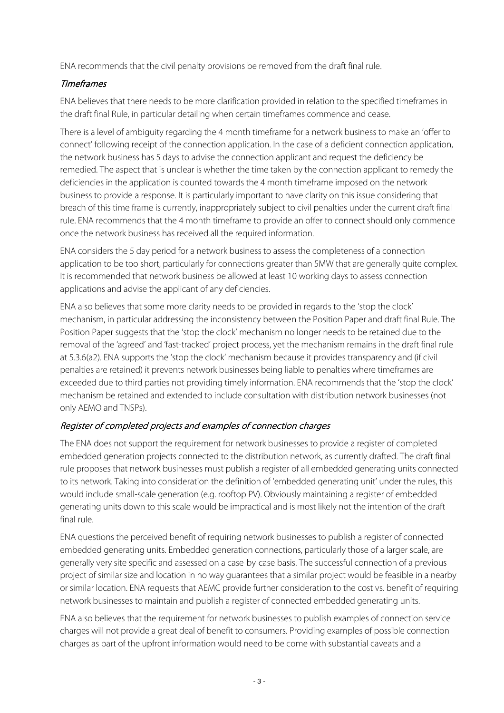ENA recommends that the civil penalty provisions be removed from the draft final rule.

## Timeframes

ENA believes that there needs to be more clarification provided in relation to the specified timeframes in the draft final Rule, in particular detailing when certain timeframes commence and cease.

There is a level of ambiguity regarding the 4 month timeframe for a network business to make an 'offer to connect' following receipt of the connection application. In the case of a deficient connection application, the network business has 5 days to advise the connection applicant and request the deficiency be remedied. The aspect that is unclear is whether the time taken by the connection applicant to remedy the deficiencies in the application is counted towards the 4 month timeframe imposed on the network business to provide a response. It is particularly important to have clarity on this issue considering that breach of this time frame is currently, inappropriately subject to civil penalties under the current draft final rule. ENA recommends that the 4 month timeframe to provide an offer to connect should only commence once the network business has received all the required information.

ENA considers the 5 day period for a network business to assess the completeness of a connection application to be too short, particularly for connections greater than 5MW that are generally quite complex. It is recommended that network business be allowed at least 10 working days to assess connection applications and advise the applicant of any deficiencies.

ENA also believes that some more clarity needs to be provided in regards to the 'stop the clock' mechanism, in particular addressing the inconsistency between the Position Paper and draft final Rule. The Position Paper suggests that the 'stop the clock' mechanism no longer needs to be retained due to the removal of the 'agreed' and 'fast-tracked' project process, yet the mechanism remains in the draft final rule at 5.3.6(a2). ENA supports the 'stop the clock' mechanism because it provides transparency and (if civil penalties are retained) it prevents network businesses being liable to penalties where timeframes are exceeded due to third parties not providing timely information. ENA recommends that the 'stop the clock' mechanism be retained and extended to include consultation with distribution network businesses (not only AEMO and TNSPs).

# Register of completed projects and examples of connection charges

The ENA does not support the requirement for network businesses to provide a register of completed embedded generation projects connected to the distribution network, as currently drafted. The draft final rule proposes that network businesses must publish a register of all embedded generating units connected to its network. Taking into consideration the definition of 'embedded generating unit' under the rules, this would include small-scale generation (e.g. rooftop PV). Obviously maintaining a register of embedded generating units down to this scale would be impractical and is most likely not the intention of the draft final rule.

ENA questions the perceived benefit of requiring network businesses to publish a register of connected embedded generating units. Embedded generation connections, particularly those of a larger scale, are generally very site specific and assessed on a case-by-case basis. The successful connection of a previous project of similar size and location in no way guarantees that a similar project would be feasible in a nearby or similar location. ENA requests that AEMC provide further consideration to the cost vs. benefit of requiring network businesses to maintain and publish a register of connected embedded generating units.

ENA also believes that the requirement for network businesses to publish examples of connection service charges will not provide a great deal of benefit to consumers. Providing examples of possible connection charges as part of the upfront information would need to be come with substantial caveats and a